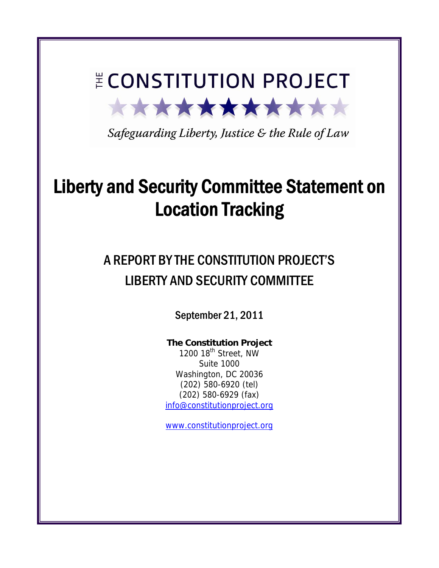# **E CONSTITUTION PROJECT** \*\*\*\*\*\*\*\*\*\*\*\*

Safeguarding Liberty, Justice & the Rule of Law

## Liberty and Security Committee Statement on Location Tracking

## A REPORT BY THE CONSTITUTION PROJECT'S LIBERTY AND SECURITY COMMITTEE

September 21, 2011

## **The Constitution Project**

1200 18<sup>th</sup> Street, NW Suite 1000 Washington, DC 20036 (202) 580-6920 (tel) (202) 580-6929 (fax) info@constitutionproject.org

www.constitutionproject.org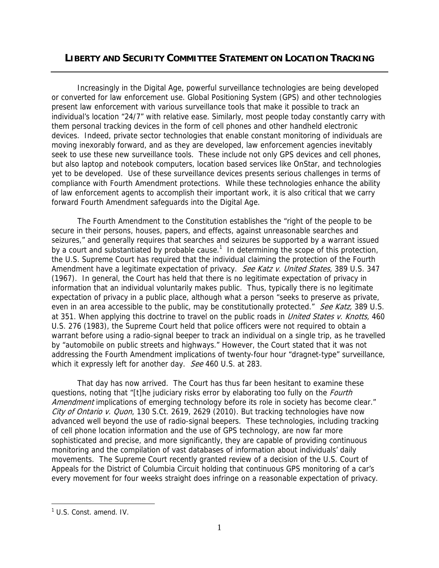### **LIBERTY AND SECURITY COMMITTEE STATEMENT ON LOCATION TRACKING**

Increasingly in the Digital Age, powerful surveillance technologies are being developed or converted for law enforcement use. Global Positioning System (GPS) and other technologies present law enforcement with various surveillance tools that make it possible to track an individual's location "24/7" with relative ease. Similarly, most people today constantly carry with them personal tracking devices in the form of cell phones and other handheld electronic devices. Indeed, private sector technologies that enable constant monitoring of individuals are moving inexorably forward, and as they are developed, law enforcement agencies inevitably seek to use these new surveillance tools. These include not only GPS devices and cell phones, but also laptop and notebook computers, location based services like OnStar, and technologies yet to be developed. Use of these surveillance devices presents serious challenges in terms of compliance with Fourth Amendment protections. While these technologies enhance the ability of law enforcement agents to accomplish their important work, it is also critical that we carry forward Fourth Amendment safeguards into the Digital Age.

The Fourth Amendment to the Constitution establishes the "right of the people to be secure in their persons, houses, papers, and effects, against unreasonable searches and seizures," and generally requires that searches and seizures be supported by a warrant issued by a court and substantiated by probable cause.<sup>1</sup> In determining the scope of this protection, the U.S. Supreme Court has required that the individual claiming the protection of the Fourth Amendment have a legitimate expectation of privacy. See Katz v. United States, 389 U.S. 347 (1967). In general, the Court has held that there is no legitimate expectation of privacy in information that an individual voluntarily makes public. Thus, typically there is no legitimate expectation of privacy in a public place, although what a person "seeks to preserve as private, even in an area accessible to the public, may be constitutionally protected." See Katz, 389 U.S. at 351. When applying this doctrine to travel on the public roads in United States v. Knotts, 460 U.S. 276 (1983), the Supreme Court held that police officers were not required to obtain a warrant before using a radio-signal beeper to track an individual on a single trip, as he travelled by "automobile on public streets and highways." However, the Court stated that it was not addressing the Fourth Amendment implications of twenty-four hour "dragnet-type" surveillance, which it expressly left for another day. See 460 U.S. at 283.

That day has now arrived. The Court has thus far been hesitant to examine these questions, noting that "[t]he judiciary risks error by elaborating too fully on the *Fourth* Amendment implications of emerging technology before its role in society has become clear." City of Ontario v. Quon, 130 S.Ct. 2619, 2629 (2010). But tracking technologies have now advanced well beyond the use of radio-signal beepers. These technologies, including tracking of cell phone location information and the use of GPS technology, are now far more sophisticated and precise, and more significantly, they are capable of providing continuous monitoring and the compilation of vast databases of information about individuals' daily movements. The Supreme Court recently granted review of a decision of the U.S. Court of Appeals for the District of Columbia Circuit holding that continuous GPS monitoring of a car's every movement for four weeks straight does infringe on a reasonable expectation of privacy.

<sup>&</sup>lt;sup>1</sup> U.S. Const. amend. IV.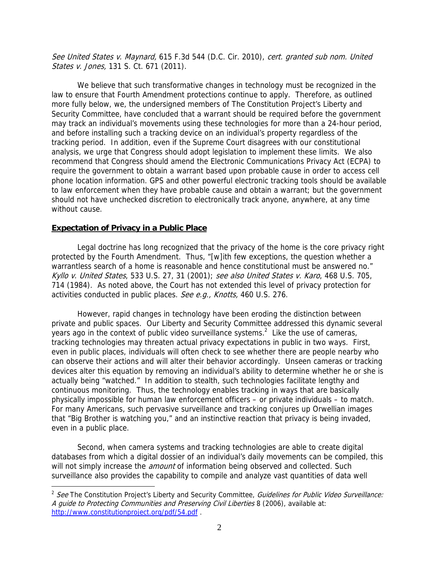See United States v. Maynard, 615 F.3d 544 (D.C. Cir. 2010), cert. granted sub nom. United States v. Jones, 131 S. Ct. 671 (2011).

We believe that such transformative changes in technology must be recognized in the law to ensure that Fourth Amendment protections continue to apply. Therefore, as outlined more fully below, we, the undersigned members of The Constitution Project's Liberty and Security Committee, have concluded that a warrant should be required before the government may track an individual's movements using these technologies for more than a 24-hour period, and before installing such a tracking device on an individual's property regardless of the tracking period. In addition, even if the Supreme Court disagrees with our constitutional analysis, we urge that Congress should adopt legislation to implement these limits. We also recommend that Congress should amend the Electronic Communications Privacy Act (ECPA) to require the government to obtain a warrant based upon probable cause in order to access cell phone location information. GPS and other powerful electronic tracking tools should be available to law enforcement when they have probable cause and obtain a warrant; but the government should not have unchecked discretion to electronically track anyone, anywhere, at any time without cause.

#### **Expectation of Privacy in a Public Place**

 $\overline{a}$ 

Legal doctrine has long recognized that the privacy of the home is the core privacy right protected by the Fourth Amendment. Thus, "[w]ith few exceptions, the question whether a warrantless search of a home is reasonable and hence constitutional must be answered no." Kyllo v. United States, 533 U.S. 27, 31 (2001); see also United States v. Karo, 468 U.S. 705, 714 (1984). As noted above, the Court has not extended this level of privacy protection for activities conducted in public places. See e.g., Knotts, 460 U.S. 276.

However, rapid changes in technology have been eroding the distinction between private and public spaces. Our Liberty and Security Committee addressed this dynamic several years ago in the context of public video surveillance systems.<sup>2</sup> Like the use of cameras, tracking technologies may threaten actual privacy expectations in public in two ways. First, even in public places, individuals will often check to see whether there are people nearby who can observe their actions and will alter their behavior accordingly. Unseen cameras or tracking devices alter this equation by removing an individual's ability to determine whether he or she is actually being "watched." In addition to stealth, such technologies facilitate lengthy and continuous monitoring. Thus, the technology enables tracking in ways that are basically physically impossible for human law enforcement officers – or private individuals – to match. For many Americans, such pervasive surveillance and tracking conjures up Orwellian images that "Big Brother is watching you," and an instinctive reaction that privacy is being invaded, even in a public place.

Second, when camera systems and tracking technologies are able to create digital databases from which a digital dossier of an individual's daily movements can be compiled, this will not simply increase the *amount* of information being observed and collected. Such surveillance also provides the capability to compile and analyze vast quantities of data well

<sup>&</sup>lt;sup>2</sup> See The Constitution Project's Liberty and Security Committee, Guidelines for Public Video Surveillance: A guide to Protecting Communities and Preserving Civil Liberties 8 (2006), available at: http://www.constitutionproject.org/pdf/54.pdf .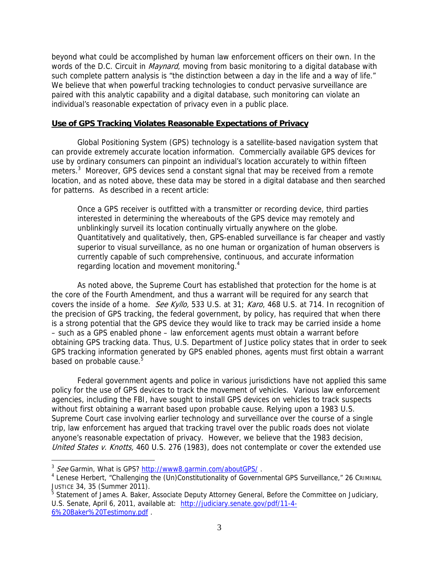beyond what could be accomplished by human law enforcement officers on their own. In the words of the D.C. Circuit in *Maynard*, moving from basic monitoring to a digital database with such complete pattern analysis is "the distinction between a day in the life and a way of life." We believe that when powerful tracking technologies to conduct pervasive surveillance are paired with this analytic capability and a digital database, such monitoring can violate an individual's reasonable expectation of privacy even in a public place.

#### **Use of GPS Tracking Violates Reasonable Expectations of Privacy**

Global Positioning System (GPS) technology is a satellite-based navigation system that can provide extremely accurate location information. Commercially available GPS devices for use by ordinary consumers can pinpoint an individual's location accurately to within fifteen meters.<sup>3</sup> Moreover, GPS devices send a constant signal that may be received from a remote location, and as noted above, these data may be stored in a digital database and then searched for patterns. As described in a recent article:

Once a GPS receiver is outfitted with a transmitter or recording device, third parties interested in determining the whereabouts of the GPS device may remotely and unblinkingly surveil its location continually virtually anywhere on the globe. Quantitatively and qualitatively, then, GPS-enabled surveillance is far cheaper and vastly superior to visual surveillance, as no one human or organization of human observers is currently capable of such comprehensive, continuous, and accurate information regarding location and movement monitoring.<sup>4</sup>

As noted above, the Supreme Court has established that protection for the home is at the core of the Fourth Amendment, and thus a warrant will be required for any search that covers the inside of a home. See Kyllo, 533 U.S. at 31; Karo, 468 U.S. at 714. In recognition of the precision of GPS tracking, the federal government, by policy, has required that when there is a strong potential that the GPS device they would like to track may be carried inside a home – such as a GPS enabled phone – law enforcement agents must obtain a warrant before obtaining GPS tracking data. Thus, U.S. Department of Justice policy states that in order to seek GPS tracking information generated by GPS enabled phones, agents must first obtain a warrant based on probable cause.<sup>5</sup>

Federal government agents and police in various jurisdictions have not applied this same policy for the use of GPS devices to track the movement of vehicles. Various law enforcement agencies, including the FBI, have sought to install GPS devices on vehicles to track suspects without first obtaining a warrant based upon probable cause. Relying upon a 1983 U.S. Supreme Court case involving earlier technology and surveillance over the course of a single trip, law enforcement has argued that tracking travel over the public roads does not violate anyone's reasonable expectation of privacy. However, we believe that the 1983 decision, United States v. Knotts, 460 U.S. 276 (1983), does not contemplate or cover the extended use

<sup>&</sup>lt;sup>3</sup> See Garmin, What is GPS? http://www8.garmin.com/aboutGPS/.

Lenese Herbert, "Challenging the (Un)Constitutionality of Governmental GPS Surveillance," 26 CRIMINAL JUSTICE 34, 35 (Summer 2011).

<sup>&</sup>lt;sup>5</sup> Statement of James A. Baker, Associate Deputy Attorney General, Before the Committee on Judiciary, U.S. Senate, April 6, 2011, available at: http://judiciary.senate.gov/pdf/11-4- 6%20Baker%20Testimony.pdf .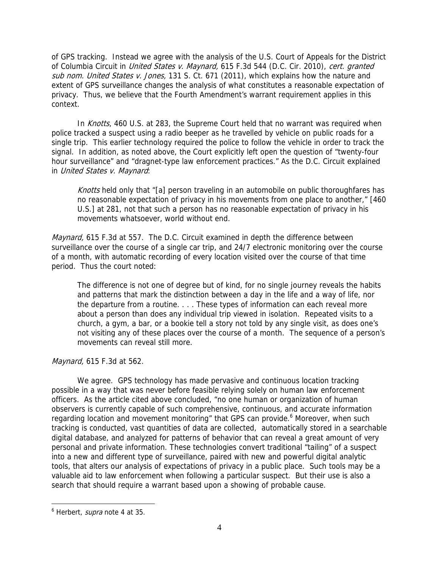of GPS tracking. Instead we agree with the analysis of the U.S. Court of Appeals for the District of Columbia Circuit in *United States v. Maynard*, 615 F.3d 544 (D.C. Cir. 2010), cert. granted sub nom. United States v. Jones, 131 S. Ct. 671 (2011), which explains how the nature and extent of GPS surveillance changes the analysis of what constitutes a reasonable expectation of privacy. Thus, we believe that the Fourth Amendment's warrant requirement applies in this context.

In Knotts, 460 U.S. at 283, the Supreme Court held that no warrant was required when police tracked a suspect using a radio beeper as he travelled by vehicle on public roads for a single trip. This earlier technology required the police to follow the vehicle in order to track the signal. In addition, as noted above, the Court explicitly left open the question of "twenty-four hour surveillance" and "dragnet-type law enforcement practices." As the D.C. Circuit explained in United States v. Maynard:

Knotts held only that "[a] person traveling in an automobile on public thoroughfares has no reasonable expectation of privacy in his movements from one place to another," [460 U.S.] at 281, not that such a person has no reasonable expectation of privacy in his movements whatsoever, world without end.

Maynard, 615 F.3d at 557. The D.C. Circuit examined in depth the difference between surveillance over the course of a single car trip, and 24/7 electronic monitoring over the course of a month, with automatic recording of every location visited over the course of that time period. Thus the court noted:

The difference is not one of degree but of kind, for no single journey reveals the habits and patterns that mark the distinction between a day in the life and a way of life, nor the departure from a routine. . . . These types of information can each reveal more about a person than does any individual trip viewed in isolation. Repeated visits to a church, a gym, a bar, or a bookie tell a story not told by any single visit, as does one's not visiting any of these places over the course of a month. The sequence of a person's movements can reveal still more.

#### Maynard, 615 F.3d at 562.

We agree. GPS technology has made pervasive and continuous location tracking possible in a way that was never before feasible relying solely on human law enforcement officers. As the article cited above concluded, "no one human or organization of human observers is currently capable of such comprehensive, continuous, and accurate information regarding location and movement monitoring" that GPS can provide.<sup>6</sup> Moreover, when such tracking is conducted, vast quantities of data are collected, automatically stored in a searchable digital database, and analyzed for patterns of behavior that can reveal a great amount of very personal and private information. These technologies convert traditional "tailing" of a suspect into a new and different type of surveillance, paired with new and powerful digital analytic tools, that alters our analysis of expectations of privacy in a public place. Such tools may be a valuable aid to law enforcement when following a particular suspect. But their use is also a search that should require a warrant based upon a showing of probable cause.

<sup>&</sup>lt;sup>6</sup> Herbert, *supra* note 4 at 35.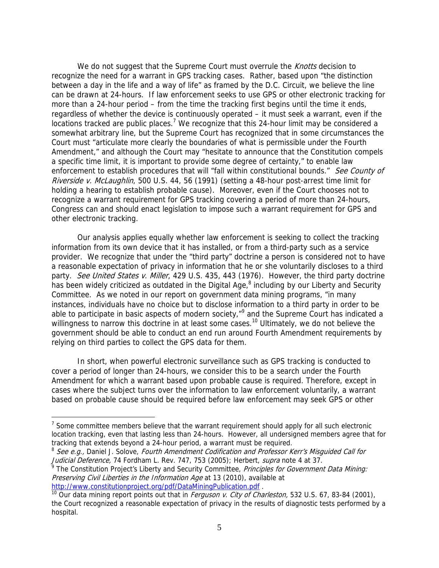We do not suggest that the Supreme Court must overrule the *Knotts* decision to recognize the need for a warrant in GPS tracking cases. Rather, based upon "the distinction between a day in the life and a way of life" as framed by the D.C. Circuit, we believe the line can be drawn at 24-hours. If law enforcement seeks to use GPS or other electronic tracking for more than a 24-hour period – from the time the tracking first begins until the time it ends, regardless of whether the device is continuously operated – it must seek a warrant, even if the locations tracked are public places.<sup>7</sup> We recognize that this 24-hour limit may be considered a somewhat arbitrary line, but the Supreme Court has recognized that in some circumstances the Court must "articulate more clearly the boundaries of what is permissible under the Fourth Amendment," and although the Court may "hesitate to announce that the Constitution compels a specific time limit, it is important to provide some degree of certainty," to enable law enforcement to establish procedures that will "fall within constitutional bounds." See County of Riverside v. McLaughlin, 500 U.S. 44, 56 (1991) (setting a 48-hour post-arrest time limit for holding a hearing to establish probable cause). Moreover, even if the Court chooses not to recognize a warrant requirement for GPS tracking covering a period of more than 24-hours, Congress can and should enact legislation to impose such a warrant requirement for GPS and other electronic tracking.

Our analysis applies equally whether law enforcement is seeking to collect the tracking information from its own device that it has installed, or from a third-party such as a service provider. We recognize that under the "third party" doctrine a person is considered not to have a reasonable expectation of privacy in information that he or she voluntarily discloses to a third party. See United States v. Miller, 429 U.S. 435, 443 (1976). However, the third party doctrine has been widely criticized as outdated in the Digital Age,<sup>8</sup> including by our Liberty and Security Committee. As we noted in our report on government data mining programs, "in many instances, individuals have no choice but to disclose information to a third party in order to be able to participate in basic aspects of modern society,"<sup>9</sup> and the Supreme Court has indicated a willingness to narrow this doctrine in at least some cases.<sup>10</sup> Ultimately, we do not believe the government should be able to conduct an end run around Fourth Amendment requirements by relying on third parties to collect the GPS data for them.

In short, when powerful electronic surveillance such as GPS tracking is conducted to cover a period of longer than 24-hours, we consider this to be a search under the Fourth Amendment for which a warrant based upon probable cause is required. Therefore, except in cases where the subject turns over the information to law enforcement voluntarily, a warrant based on probable cause should be required before law enforcement may seek GPS or other

<sup>&</sup>lt;sup>7</sup> Some committee members believe that the warrant requirement should apply for all such electronic location tracking, even that lasting less than 24-hours. However, all undersigned members agree that for tracking that extends beyond a 24-hour period, a warrant must be required.

 $8$  See e.g., Daniel J. Solove, Fourth Amendment Codification and Professor Kerr's Misguided Call for Judicial Deference, 74 Fordham L. Rev. 747, 753 (2005); Herbert, supra note 4 at 37.

<sup>&</sup>lt;sup>9</sup> The Constitution Project's Liberty and Security Committee, *Principles for Government Data Mining:* Preserving Civil Liberties in the Information Age at 13 (2010), available at

http://www.constitutionproject.org/pdf/DataMiningPublication.pdf .<br><sup>10</sup> Our data mining report points out that in *Ferguson v. City of Charleston*, 532 U.S. 67, 83-84 (2001), the Court recognized a reasonable expectation of privacy in the results of diagnostic tests performed by a hospital.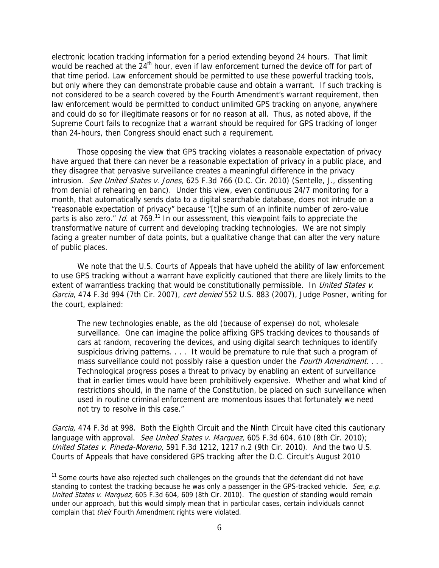electronic location tracking information for a period extending beyond 24 hours. That limit would be reached at the 24<sup>th</sup> hour, even if law enforcement turned the device off for part of that time period. Law enforcement should be permitted to use these powerful tracking tools, but only where they can demonstrate probable cause and obtain a warrant. If such tracking is not considered to be a search covered by the Fourth Amendment's warrant requirement, then law enforcement would be permitted to conduct unlimited GPS tracking on anyone, anywhere and could do so for illegitimate reasons or for no reason at all. Thus, as noted above, if the Supreme Court fails to recognize that a warrant should be required for GPS tracking of longer than 24-hours, then Congress should enact such a requirement.

Those opposing the view that GPS tracking violates a reasonable expectation of privacy have argued that there can never be a reasonable expectation of privacy in a public place, and they disagree that pervasive surveillance creates a meaningful difference in the privacy intrusion. See United States v. Jones, 625 F.3d 766 (D.C. Cir. 2010) (Sentelle, J., dissenting from denial of rehearing en banc). Under this view, even continuous 24/7 monitoring for a month, that automatically sends data to a digital searchable database, does not intrude on a "reasonable expectation of privacy" because "[t]he sum of an infinite number of zero-value parts is also zero." *Id.* at 769.<sup>11</sup> In our assessment, this viewpoint fails to appreciate the transformative nature of current and developing tracking technologies. We are not simply facing a greater number of data points, but a qualitative change that can alter the very nature of public places.

We note that the U.S. Courts of Appeals that have upheld the ability of law enforcement to use GPS tracking without a warrant have explicitly cautioned that there are likely limits to the extent of warrantless tracking that would be constitutionally permissible. In United States v. Garcia, 474 F.3d 994 (7th Cir. 2007), cert denied 552 U.S. 883 (2007), Judge Posner, writing for the court, explained:

The new technologies enable, as the old (because of expense) do not, wholesale surveillance. One can imagine the police affixing GPS tracking devices to thousands of cars at random, recovering the devices, and using digital search techniques to identify suspicious driving patterns. . . . It would be premature to rule that such a program of mass surveillance could not possibly raise a question under the *Fourth Amendment.* . . . Technological progress poses a threat to privacy by enabling an extent of surveillance that in earlier times would have been prohibitively expensive. Whether and what kind of restrictions should, in the name of the Constitution, be placed on such surveillance when used in routine criminal enforcement are momentous issues that fortunately we need not try to resolve in this case."

Garcia, 474 F.3d at 998. Both the Eighth Circuit and the Ninth Circuit have cited this cautionary language with approval. See United States v. Marguez, 605 F.3d 604, 610 (8th Cir. 2010); United States v. Pineda-Moreno, 591 F.3d 1212, 1217 n.2 (9th Cir. 2010). And the two U.S. Courts of Appeals that have considered GPS tracking after the D.C. Circuit's August 2010

<sup>&</sup>lt;sup>11</sup> Some courts have also rejected such challenges on the grounds that the defendant did not have standing to contest the tracking because he was only a passenger in the GPS-tracked vehicle. See, e.g. United States v. Marquez, 605 F.3d 604, 609 (8th Cir. 2010). The question of standing would remain under our approach, but this would simply mean that in particular cases, certain individuals cannot complain that *their* Fourth Amendment rights were violated.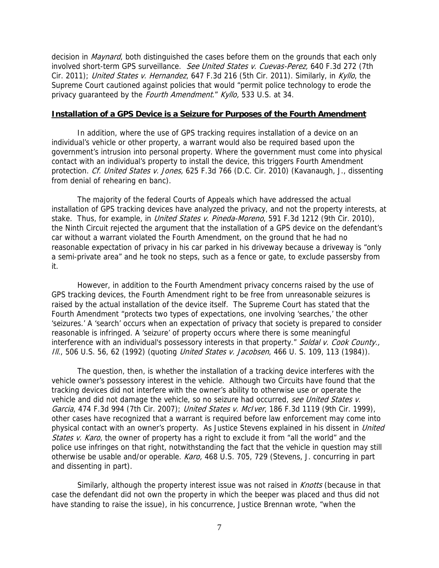decision in *Maynard*, both distinguished the cases before them on the grounds that each only involved short-term GPS surveillance. See United States v. Cuevas-Perez, 640 F.3d 272 (7th Cir. 2011); United States v. Hernandez, 647 F.3d 216 (5th Cir. 2011). Similarly, in Kyllo, the Supreme Court cautioned against policies that would "permit police technology to erode the privacy quaranteed by the Fourth Amendment." Kyllo, 533 U.S. at 34.

#### **Installation of a GPS Device is a Seizure for Purposes of the Fourth Amendment**

In addition, where the use of GPS tracking requires installation of a device on an individual's vehicle or other property, a warrant would also be required based upon the government's intrusion into personal property. Where the government must come into physical contact with an individual's property to install the device, this triggers Fourth Amendment protection. Cf. United States v. Jones, 625 F.3d 766 (D.C. Cir. 2010) (Kavanaugh, J., dissenting from denial of rehearing en banc).

The majority of the federal Courts of Appeals which have addressed the actual installation of GPS tracking devices have analyzed the privacy, and not the property interests, at stake. Thus, for example, in *United States v. Pineda-Moreno*, 591 F.3d 1212 (9th Cir. 2010), the Ninth Circuit rejected the argument that the installation of a GPS device on the defendant's car without a warrant violated the Fourth Amendment, on the ground that he had no reasonable expectation of privacy in his car parked in his driveway because a driveway is "only a semi-private area" and he took no steps, such as a fence or gate, to exclude passersby from it.

However, in addition to the Fourth Amendment privacy concerns raised by the use of GPS tracking devices, the Fourth Amendment right to be free from unreasonable seizures is raised by the actual installation of the device itself. The Supreme Court has stated that the Fourth Amendment "protects two types of expectations, one involving 'searches,' the other 'seizures.' A 'search' occurs when an expectation of privacy that society is prepared to consider reasonable is infringed. A 'seizure' of property occurs where there is some meaningful interference with an individual's possessory interests in that property." Soldal v. Cook County., Ill., 506 U.S. 56, 62 (1992) (quoting *United States v. Jacobsen*, 466 U.S. 109, 113 (1984)).

The question, then, is whether the installation of a tracking device interferes with the vehicle owner's possessory interest in the vehicle. Although two Circuits have found that the tracking devices did not interfere with the owner's ability to otherwise use or operate the vehicle and did not damage the vehicle, so no seizure had occurred, see United States v. Garcia, 474 F.3d 994 (7th Cir. 2007); United States v. McIver, 186 F.3d 1119 (9th Cir. 1999), other cases have recognized that a warrant is required before law enforcement may come into physical contact with an owner's property. As Justice Stevens explained in his dissent in *United* States v. Karo, the owner of property has a right to exclude it from "all the world" and the police use infringes on that right, notwithstanding the fact that the vehicle in question may still otherwise be usable and/or operable. Karo, 468 U.S. 705, 729 (Stevens, J. concurring in part and dissenting in part).

Similarly, although the property interest issue was not raised in Knotts (because in that case the defendant did not own the property in which the beeper was placed and thus did not have standing to raise the issue), in his concurrence, Justice Brennan wrote, "when the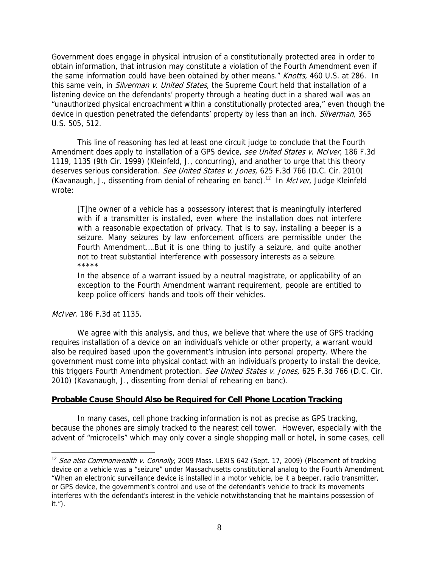Government does engage in physical intrusion of a constitutionally protected area in order to obtain information, that intrusion may constitute a violation of the Fourth Amendment even if the same information could have been obtained by other means." Knotts, 460 U.S. at 286. In this same vein, in *Silverman v. United States*, the Supreme Court held that installation of a listening device on the defendants' property through a heating duct in a shared wall was an "unauthorized physical encroachment within a constitutionally protected area," even though the device in question penetrated the defendants' property by less than an inch. Silverman, 365 U.S. 505, 512.

This line of reasoning has led at least one circuit judge to conclude that the Fourth Amendment does apply to installation of a GPS device, see United States v. McIver, 186 F.3d 1119, 1135 (9th Cir. 1999) (Kleinfeld, J., concurring), and another to urge that this theory deserves serious consideration. See United States v. Jones, 625 F.3d 766 (D.C. Cir. 2010) (Kavanaugh, J., dissenting from denial of rehearing en banc).<sup>12</sup> In *McIver*, Judge Kleinfeld wrote:

[T]he owner of a vehicle has a possessory interest that is meaningfully interfered with if a transmitter is installed, even where the installation does not interfere with a reasonable expectation of privacy. That is to say, installing a beeper is a seizure. Many seizures by law enforcement officers are permissible under the Fourth Amendment….But it is one thing to justify a seizure, and quite another not to treat substantial interference with possessory interests as a seizure. \*\*\*\*\*

In the absence of a warrant issued by a neutral magistrate, or applicability of an exception to the Fourth Amendment warrant requirement, people are entitled to keep police officers' hands and tools off their vehicles.

McIver, 186 F.3d at 1135.

 $\overline{a}$ 

We agree with this analysis, and thus, we believe that where the use of GPS tracking requires installation of a device on an individual's vehicle or other property, a warrant would also be required based upon the government's intrusion into personal property. Where the government must come into physical contact with an individual's property to install the device, this triggers Fourth Amendment protection. See United States v. Jones, 625 F.3d 766 (D.C. Cir. 2010) (Kavanaugh, J., dissenting from denial of rehearing en banc).

#### **Probable Cause Should Also be Required for Cell Phone Location Tracking**

In many cases, cell phone tracking information is not as precise as GPS tracking, because the phones are simply tracked to the nearest cell tower. However, especially with the advent of "microcells" which may only cover a single shopping mall or hotel, in some cases, cell

<sup>&</sup>lt;sup>12</sup> See also Commonwealth v. Connolly, 2009 Mass. LEXIS 642 (Sept. 17, 2009) (Placement of tracking device on a vehicle was a "seizure" under Massachusetts constitutional analog to the Fourth Amendment. "When an electronic surveillance device is installed in a motor vehicle, be it a beeper, radio transmitter, or GPS device, the government's control and use of the defendant's vehicle to track its movements interferes with the defendant's interest in the vehicle notwithstanding that he maintains possession of it.").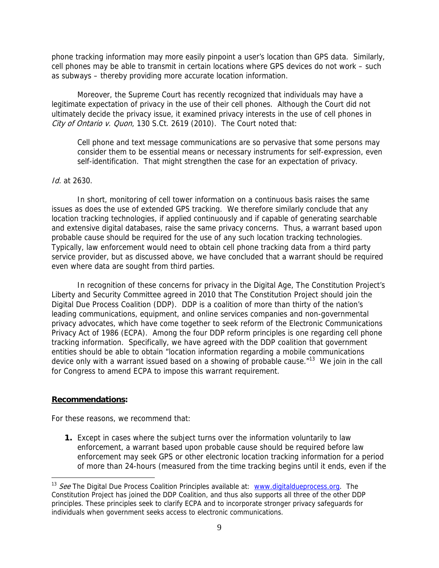phone tracking information may more easily pinpoint a user's location than GPS data. Similarly, cell phones may be able to transmit in certain locations where GPS devices do not work – such as subways – thereby providing more accurate location information.

Moreover, the Supreme Court has recently recognized that individuals may have a legitimate expectation of privacy in the use of their cell phones. Although the Court did not ultimately decide the privacy issue, it examined privacy interests in the use of cell phones in City of Ontario v. Quon, 130 S.Ct. 2619 (2010). The Court noted that:

Cell phone and text message communications are so pervasive that some persons may consider them to be essential means or necessary instruments for self-expression, even self-identification. That might strengthen the case for an expectation of privacy.

#### Id. at 2630.

In short, monitoring of cell tower information on a continuous basis raises the same issues as does the use of extended GPS tracking. We therefore similarly conclude that any location tracking technologies, if applied continuously and if capable of generating searchable and extensive digital databases, raise the same privacy concerns. Thus, a warrant based upon probable cause should be required for the use of any such location tracking technologies. Typically, law enforcement would need to obtain cell phone tracking data from a third party service provider, but as discussed above, we have concluded that a warrant should be required even where data are sought from third parties.

In recognition of these concerns for privacy in the Digital Age, The Constitution Project's Liberty and Security Committee agreed in 2010 that The Constitution Project should join the Digital Due Process Coalition (DDP). DDP is a coalition of more than thirty of the nation's leading communications, equipment, and online services companies and non-governmental privacy advocates, which have come together to seek reform of the Electronic Communications Privacy Act of 1986 (ECPA). Among the four DDP reform principles is one regarding cell phone tracking information. Specifically, we have agreed with the DDP coalition that government entities should be able to obtain "location information regarding a mobile communications device only with a warrant issued based on a showing of probable cause."<sup>13</sup> We join in the call for Congress to amend ECPA to impose this warrant requirement.

#### **Recommendations:**

 $\overline{a}$ 

For these reasons, we recommend that:

**1.** Except in cases where the subject turns over the information voluntarily to law enforcement, a warrant based upon probable cause should be required before law enforcement may seek GPS or other electronic location tracking information for a period of more than 24-hours (measured from the time tracking begins until it ends, even if the

 $13$  See The Digital Due Process Coalition Principles available at: www.digitaldueprocess.org. The Constitution Project has joined the DDP Coalition, and thus also supports all three of the other DDP principles. These principles seek to clarify ECPA and to incorporate stronger privacy safeguards for individuals when government seeks access to electronic communications.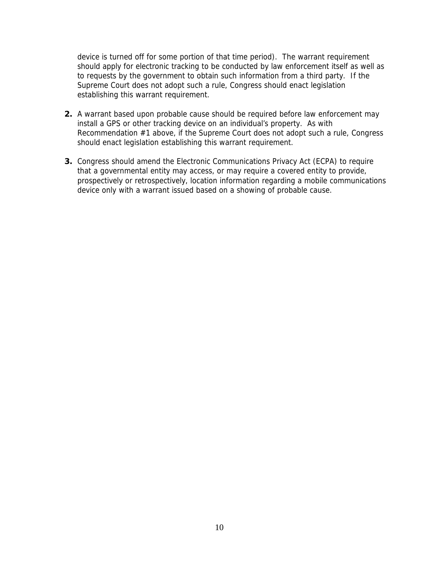device is turned off for some portion of that time period). The warrant requirement should apply for electronic tracking to be conducted by law enforcement itself as well as to requests by the government to obtain such information from a third party. If the Supreme Court does not adopt such a rule, Congress should enact legislation establishing this warrant requirement.

- **2.** A warrant based upon probable cause should be required before law enforcement may install a GPS or other tracking device on an individual's property. As with Recommendation #1 above, if the Supreme Court does not adopt such a rule, Congress should enact legislation establishing this warrant requirement.
- **3.** Congress should amend the Electronic Communications Privacy Act (ECPA) to require that a governmental entity may access, or may require a covered entity to provide, prospectively or retrospectively, location information regarding a mobile communications device only with a warrant issued based on a showing of probable cause.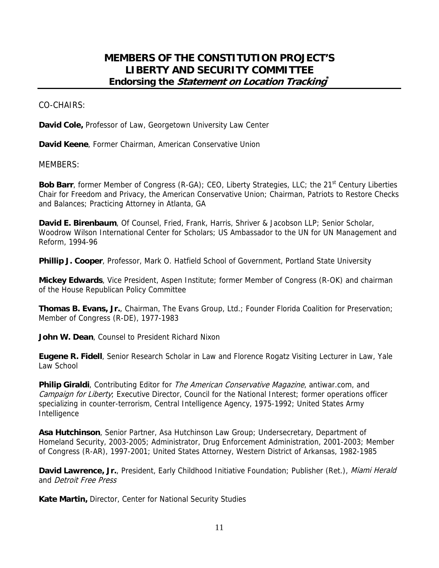### **MEMBERS OF THE CONSTITUTION PROJECT'S LIBERTY AND SECURITY COMMITTEE Endorsing the Statement on Location Tracking\***

CO-CHAIRS:

**David Cole,** Professor of Law, Georgetown University Law Center

**David Keene**, Former Chairman, American Conservative Union

MEMBERS:

**Bob Barr**, former Member of Congress (R-GA); CEO, Liberty Strategies, LLC; the 21<sup>st</sup> Century Liberties Chair for Freedom and Privacy, the American Conservative Union; Chairman, Patriots to Restore Checks and Balances; Practicing Attorney in Atlanta, GA

**David E. Birenbaum**, Of Counsel, Fried, Frank, Harris, Shriver & Jacobson LLP; Senior Scholar, Woodrow Wilson International Center for Scholars; US Ambassador to the UN for UN Management and Reform, 1994-96

**Phillip J. Cooper**, Professor, Mark O. Hatfield School of Government, Portland State University

**Mickey Edwards**, Vice President, Aspen Institute; former Member of Congress (R-OK) and chairman of the House Republican Policy Committee

**Thomas B. Evans, Jr.**, Chairman, The Evans Group, Ltd.; Founder Florida Coalition for Preservation; Member of Congress (R-DE), 1977-1983

**John W. Dean**, Counsel to President Richard Nixon

**Eugene R. Fidell**, Senior Research Scholar in Law and Florence Rogatz Visiting Lecturer in Law, Yale Law School

**Philip Giraldi**, Contributing Editor for *The American Conservative Magazine*, antiwar.com, and Campaign for Liberty; Executive Director, Council for the National Interest; former operations officer specializing in counter-terrorism, Central Intelligence Agency, 1975-1992; United States Army Intelligence

**Asa Hutchinson**, Senior Partner, Asa Hutchinson Law Group; Undersecretary, Department of Homeland Security, 2003-2005; Administrator, Drug Enforcement Administration, 2001-2003; Member of Congress (R-AR), 1997-2001; United States Attorney, Western District of Arkansas, 1982-1985

David Lawrence, Jr., President, Early Childhood Initiative Foundation; Publisher (Ret.), Miami Herald and Detroit Free Press

**Kate Martin,** Director, Center for National Security Studies